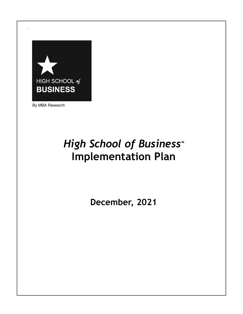

By MBA Research

## *High School of Business***™ Implementation Plan**

**December, 2021**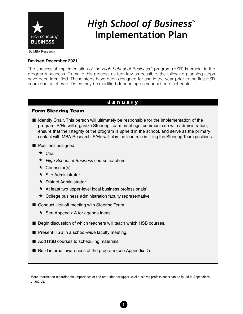

## *High School of Business™* **Implementation Plan**

By MBA Research

#### **Revised December 2021**

The successful implementation of the High School of Business<sup>™</sup> program (HSB) is crucial to the program's success. To make this process as turn-key as possible, the following planning steps have been identified. These steps have been designed for use in the year prior to the first HSB course being offered. Dates may be modified depending on your school's schedule.

#### January

#### Form Steering Team

- Identify Chair. This person will ultimately be responsible for the implementation of the program. S/He will organize Steering Team meetings, communicate with administration, ensure that the integrity of the program is upheld in the school, and serve as the primary contact with MBA Research. S/He will play the lead role in filling the Steering Team positions.
- $\blacksquare$  Positions assigned
	- ★ Chair
	- ★ High School of Business course teachers
	- ★ Counselor(s)
	- **★ Site Administrator**
	- ★ District Administrator
	- $\star$  At least two upper-level local business professionals<sup>1</sup>
	- ★ College business administration faculty representative
- Conduct kick-off meeting with Steering Team.
	- $\star$  See Appendix A for agenda ideas.
- Begin discussion of which teachers will teach which HSB courses.
- **n** Present HSB in a school-wide faculty meeting.
- Add HSB courses to scheduling materials.
- Build internal awareness of the program (see Appendix D).

1

<sup>&</sup>lt;sup>1</sup> More information regarding the importance of and recruiting for upper-level business professionals can be found in Appendices CI and C2.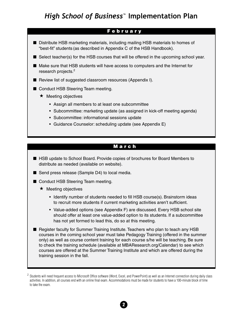## *High School of Business™* **Implementation Plan**

#### F e b r u a r y

- Distribute HSB marketing materials, including mailing HSB materials to homes of "best-fit" students (as described in Appendix C of the HSB Handbook).
- Select teacher(s) for the HSB courses that will be offered in the upcoming school year.
- Make sure that HSB students will have access to computers and the Internet for research projects.<sup>2</sup>
- Review list of suggested classroom resources (Appendix I).
- Conduct HSB Steering Team meeting.
	- $\star$  Meeting objectives
		- Assign all members to at least one subcommittee
		- Subcommittee: marketing update (as assigned in kick-off meeting agenda)
		- Subcommittee: informational sessions update
		- Guidance Counselor: scheduling update (see Appendix E)

#### M a r c h

- HSB update to School Board. Provide copies of brochures for Board Members to distribute as needed (available on website).
- Send press release (Sample D4) to local media.
- Conduct HSB Steering Team meeting.
	- $\star$  Meeting objectives
		- Identify number of students needed to fill HSB course(s). Brainstorm ideas to recruit more students if current marketing activities aren't sufficient.
		- Value-added options (see Appendix F) are discussed. Every HSB school site should offer at least one value-added option to its students. If a subcommittee has not yet formed to lead this, do so at this meeting.
- Register faculty for Summer Training Institute. Teachers who plan to teach any HSB courses in the coming school year must take Pedagogy Training (offered in the summer only) as well as course content training for each course s/he will be teaching. Be sure to check the training schedule (available at MBAResearch.org/Calendar) to see which courses are offered at the Summer Training Institute and which are offered during the training session in the fall.

 $^2$  Students will need frequent access to Microsoft Office software (Word, Excel, and PowerPoint) as well as an Internet connection during daily class activities. In addition, all courses end with an online final exam. Accommodations must be made for students to have a 100-minute block of time to take the exam.

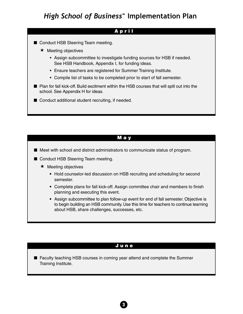#### A p r i l

- Conduct HSB Steering Team meeting.
	- ★ Meeting objectives
		- Assign subcommittee to investigate funding sources for HSB if needed. See HSB Handbook, Appendix I, for funding ideas.
		- Ensure teachers are registered for Summer Training Institute.
		- Compile list of tasks to be completed prior to start of fall semester.
- $\blacksquare$  Plan for fall kick-off. Build excitment within the HSB courses that will spill out into the school. See Appendix H for ideas.
- $\blacksquare$  Conduct additional student recruiting, if needed.

#### M a y

- $\blacksquare$  Meet with school and district administrators to communicate status of program.
- Conduct HSB Steering Team meeting.
	- ★ Meeting objectives
		- Hold counselor-led discussion on HSB recruiting and scheduling for second semester.
		- Complete plans for fall kick-off. Assign committee chair and members to finish planning and executing this event.
		- Assign subcommittee to plan follow-up event for end of fall semester. Objective is to begin building an HSB community. Use this time for teachers to continue learning about HSB, share challenges, successes, etc.

#### J u n e

3

 $\blacksquare$  Faculty teaching HSB courses in coming year attend and complete the Summer Training Institute.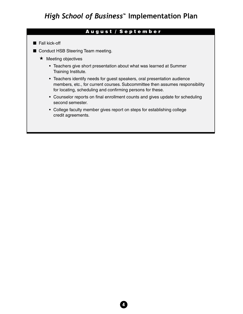#### A u g u s t / S e p t e m b e r

- $\blacksquare$  Fall kick-off
- Conduct HSB Steering Team meeting.
	- ★ Meeting objectives
		- Teachers give short presentation about what was learned at Summer Training Institute.
		- Teachers identify needs for guest speakers, oral presentation audience members, etc., for current courses. Subcommittee then assumes responsibility for locating, scheduling and confirming persons for these.
		- Counselor reports on final enrollment counts and gives update for scheduling second semester.
		- College faculty member gives report on steps for establishing college credit agreements.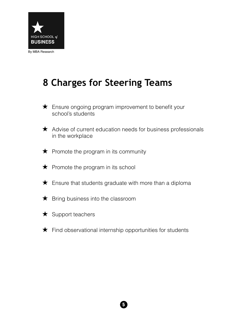

## **8 Charges for Steering Teams**

- ★ Ensure ongoing program improvement to benefit your school's students
- ★ Advise of current education needs for business professionals in the workplace
- $\bigstar$  Promote the program in its community
- ★ Promote the program in its school
- $\bigstar$  Ensure that students graduate with more than a diploma
- ★ Bring business into the classroom
- ★ Support teachers
- ★ Find observational internship opportunities for students

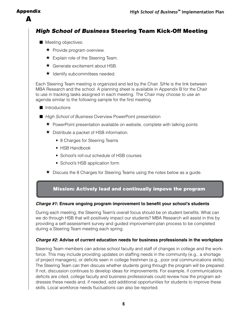#### Appendix

A

## *High School of Business* Steering Team Kick-Off Meeting

- $\blacksquare$  Meeting objectives:
	- ★ Provide program overview.
	- ★ Explain role of the Steering Team.
	- **★** Generate excitement about HSB.
	- ★ Identify subcommittees needed.

Each Steering Team meeting is organized and led by the Chair. S/He is the link between MBA Research and the school. A planning sheet is available in Appendix B for the Chair to use in tracking tasks assigned in each meeting. The Chair may choose to use an agenda similar to the following sample for the first meeting.

- $\blacksquare$  Introductions
- High School of Business Overview PowerPoint presentation
	- ★ PowerPoint presentation available on website, complete with talking points
	- ★ Distribute a packet of HSB information.
		- 8 Charges for Steering Teams
		- HSB Handbook
		- School's roll-out schedule of HSB courses
		- School's HSB application form
	- ★ Discuss the 8 Charges for Steering Teams using the notes below as a guide.

#### Mission: Actively lead and continually impove the program

#### **Charge #1: Ensure ongoing program improvement to benefit your school's students**

During each meeting, the Steering Team's overall focus should be on student benefits. What can we do through HSB that will positively impact our students? MBA Research will assist in this by providing a self-assessment survey and guided improvement-plan process to be completed during a Steering Team meeting each spring.

#### **Charge #2: Advise of current education needs for business professionals in the workplace**

Steering Team members can advise school faculty and staff of changes in college and the workforce. This may include providing updates on staffing needs in the community (e.g., a shortage of project managers), or deficits seen in college freshmen (e.g., poor oral communications skills). The Steering Team can then discuss whether students going through the program will be prepared. If not, discussion continues to develop ideas for improvements. For example, if communications deficits are cited, college faculty and business professionals could review how the program addresses these needs and, if needed, add additional opportunities for students to improve these skills. Local workforce needs fluctuations can also be reported.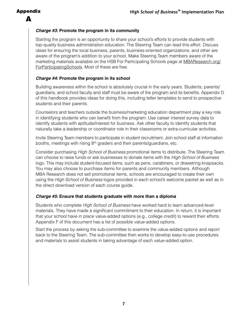#### Appendix A

#### **Charge #3: Promote the program in its community**

Starting the program is an opportunity to share your school's efforts to provide students with top-quality business administration education. The Steering Team can lead this effort. Discuss ideas for ensuring the local business, parents, business-oriented organizations, and other are aware of the program's addition to your school. Make Steering Team members aware of the marketing materials available on the HSB For Participating Schools page at [MBAResearch.org/](http://MBAResearch.org/ForParticipatingSchools) [ForParticipatingSchools.](http://MBAResearch.org/ForParticipatingSchools) Most of these are free.

#### **Charge #4: Promote the program in its school**

Building awareness within the school is absolutely crucial in the early years. Students, parents/ guardians, and school faculty and staff must be aware of the program and its benefits. Appendix D of this handbook provides ideas for doing this, including letter templates to send to prospective students and their parents.

Counselors and teachers outside the business/marketing education department play a key role in identifying students who can benefit from the program. Use career interest survey data to identify students with aptitude/interest for business. Ask other faculty to identify students that naturally take a leadership or coordinator role in their classrooms or extra-curricular activities.

Invite Steering Team members to participate in student recruitment. Join school staff at information booths, meetings with rising  $8<sup>th</sup>$  graders and their parents/guardians, etc.

Consider purchasing *High School of Business* promotional items to distribute. The Steering Team can choose to raise funds or ask businesses to donate items with the High School of Business logo. This may include student-focused items, such as pens, carabiners, or drawstring knapsacks. You may also choose to purchase items for parents and community members. Although MBA Research does not sell promotional items, schools are encouraged to create their own using the High School of Business logos provided in each school's welcome packet as well as in the direct download version of each course guide.

#### **Charge #5: Ensure that students graduate with more than a diploma**

Students who complete High School of Business have worked hard to learn advanced-level materials. They have made a significant commitment to their education. In return, it is important that your school have in place value-added options (e.g., college credit) to reward their efforts. Appendix F of this document has a list of possible value-added options.

Start the process by asking the sub-committee to examine the value-added options and report back to the Steering Team. The sub-committee then works to develop easy-to-use procedures and materials to assist students in taking advantage of each value-added option.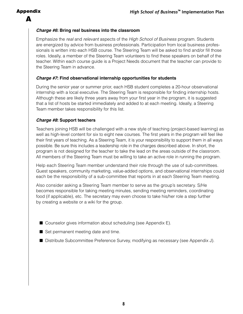#### Appendix

A

#### **Charge #6: Bring real business into the classroom**

Emphasize the real and relevant aspects of the High School of Business program. Students are energized by advice from business professionals. Participation from local business professionals is written into each HSB course. The Steering Team will be asked to find and/or fill those roles. Ideally, a member of the Steering Team volunteers to find these speakers on behalf of the teacher. Within each course guide is a Project Needs document that the teacher can provide to the Steering Team in advance.

#### **Charge #7: Find observational internship opportunities for students**

During the senior year or summer prior, each HSB student completes a 20-hour observational internship with a local executive. The Steering Team is responsible for finding internship hosts. Although these are likely three years away from your first year in the program, it is suggested that a list of hosts be started immediately and added to at each meeting. Ideally, a Steering Team member takes responsibility for this list.

#### **Charge #8: Support teachers**

Teachers joining HSB will be challenged with a new style of teaching (project-based learning) as well as high-level content for six to eight new courses. The first years in the program will feel like their first years of teaching. As a Steering Team, it is your responsibility to support them in all ways possible. Be sure this includes a leadership role in the charges described above. In short, the program is not designed for the teacher to take the lead on the areas outside of the classroom. All members of the Steering Team must be willing to take an active role in running the program.

Help each Steering Team member understand their role through the use of sub-committees. Guest speakers, community marketing, value-added options, and observational internships could each be the responsibility of a sub-committee that reports in at each Steering Team meeting.

Also consider asking a Steering Team member to serve as the group's secretary. S/He becomes responsible for taking meeting minutes, sending meeting reminders, coordinating food (if applicable), etc. The secretary may even choose to take his/her role a step further by creating a website or a wiki for the group.

- $\blacksquare$  Counselor gives information about scheduling (see Appendix E).
- $\blacksquare$  Set permanent meeting date and time.
- Distribute Subcommittee Preference Survey, modifying as necessary (see Appendix J).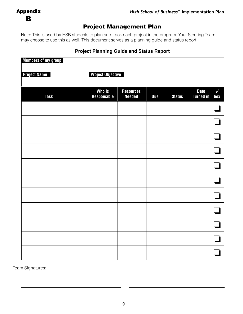## B

## Project Management Plan

Note: This is used by HSB students to plan and track each project in the program. Your Steering Team may choose to use this as well. This document serves as a planning guide and status report.

## **Members of my group Project Name Project Objective Who is a confinent Resources** a consider a vertical Date in V<br>
<u>Sponsible Beeded Bue Status Turned in</u> box **Task Responsible Needed Due Status Turned in box** ❏ ❏ ❏ ❏ ❏ ❏ ❏ ❏ ❏ ❏ ❏

#### **Project Planning Guide and Status Report**

Team Signatures: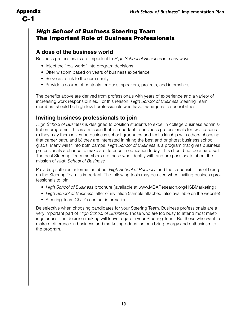## *High School of Business* Steering Team The Important Role of Business Professionals

#### **A dose of the business world**

Business professionals are important to High School of Business in many ways:

- Inject the "real world" into program decisions
- Offer wisdom based on years of business experience
- Serve as a link to the community
- Provide a source of contacts for guest speakers, projects, and internships

The benefits above are derived from professionals with years of experience and a variety of increasing work responsibilities. For this reason, *High School of Business* Steering Team members should be high-level professionals who have managerial responsibilities.

### **Inviting business professionals to join**

High School of Business is designed to position students to excel in college business administration programs. This is a mission that is important to business professionals for two reasons: a) they may themselves be business school graduates and feel a kinship with others choosing that career path, and b) they are interested in hiring the best and brightest business school grads. Many will fit into both camps. High School of Business is a program that gives business professionals a chance to make a difference in education today. This should not be a hard sell. The best Steering Team members are those who identify with and are passionate about the mission of High School of Business.

Providing sufficient information about High School of Business and the responsibilities of being on the Steering Team is important. The following tools may be used when inviting business professionals to join:

- High School of Business brochure (available at [www.MBAResearch.org/HSB](http://www.MBAResearch.org/HSBMarketing)Marketing)
- High School of Business letter of invitation (sample attached; also available on the website)
- Steering Team Chair's contact information

Be selective when choosing candidates for your Steering Team. Business professionals are a very important part of High School of Business. Those who are too busy to attend most meetings or assist in decision making will leave a gap in your Steering Team. But those who want to make a difference in business and marketing education can bring energy and enthusiasm to the program.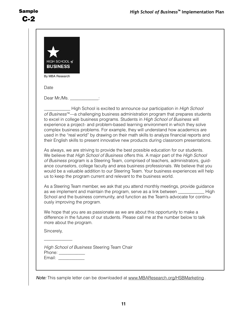| HIGH SCHOOL of<br><b>BUSINESS</b><br>By MBA Research                                                                                                                                                                                                                                                                                                                                                                                                                                                                                                                                                                                                                                                                                                                                                                                                                                                                                                                                   |
|----------------------------------------------------------------------------------------------------------------------------------------------------------------------------------------------------------------------------------------------------------------------------------------------------------------------------------------------------------------------------------------------------------------------------------------------------------------------------------------------------------------------------------------------------------------------------------------------------------------------------------------------------------------------------------------------------------------------------------------------------------------------------------------------------------------------------------------------------------------------------------------------------------------------------------------------------------------------------------------|
| Date                                                                                                                                                                                                                                                                                                                                                                                                                                                                                                                                                                                                                                                                                                                                                                                                                                                                                                                                                                                   |
| Dear Mr./Ms.                                                                                                                                                                                                                                                                                                                                                                                                                                                                                                                                                                                                                                                                                                                                                                                                                                                                                                                                                                           |
| High School is excited to announce our participation in High School<br>of Business <sup>™</sup> —a challenging business administration program that prepares students<br>to excel in college business programs. Students in High School of Business will<br>experience a project- and problem-based learning environment in which they solve<br>complex business problems. For example, they will understand how academics are<br>used in the "real world" by drawing on their math skills to analyze financial reports and<br>their English skills to present innovative new products during classroom presentations.<br>As always, we are striving to provide the best possible education for our students.<br>We believe that High School of Business offers this. A major part of the High School<br>of Business program is a Steering Team, comprised of teachers, administrators, guid-<br>ance counselors, college faculty and area business professionals. We believe that you |
| would be a valuable addition to our Steering Team. Your business experiences will help<br>us to keep the program current and relevant to the business world.                                                                                                                                                                                                                                                                                                                                                                                                                                                                                                                                                                                                                                                                                                                                                                                                                           |
| As a Steering Team member, we ask that you attend monthly meetings, provide guidance<br>as we implement and maintain the program, serve as a link between ________<br>High<br>School and the business community, and function as the Team's advocate for continu-<br>ously improving the program.                                                                                                                                                                                                                                                                                                                                                                                                                                                                                                                                                                                                                                                                                      |
| We hope that you are as passionate as we are about this opportunity to make a<br>difference in the futures of our students. Please call me at the number below to talk<br>more about the program.                                                                                                                                                                                                                                                                                                                                                                                                                                                                                                                                                                                                                                                                                                                                                                                      |
| Sincerely,                                                                                                                                                                                                                                                                                                                                                                                                                                                                                                                                                                                                                                                                                                                                                                                                                                                                                                                                                                             |
| High School of Business Steering Team Chair<br>Phone: ____________<br>Email: _____________                                                                                                                                                                                                                                                                                                                                                                                                                                                                                                                                                                                                                                                                                                                                                                                                                                                                                             |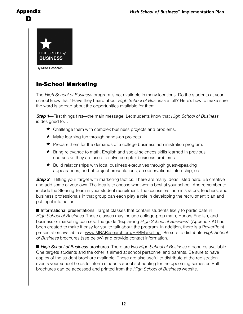#### Appendix D



By MBA Research

## In-School Marketing

The High School of Business program is not available in many locations. Do the students at your school know that? Have they heard about High School of Business at all? Here's how to make sure the word is spread about the opportunities available for them.

**Step 1**—First things first—the main message. Let students know that High School of Business is designed to…

- ★ Challenge them with complex business projects and problems.
- ★ Make learning fun through hands-on projects.
- ★ Prepare them for the demands of a college business administration program.
- ★ Bring relevance to math, English and social sciences skills learned in previous courses as they are used to solve complex business problems.
- ★ Build relationships with local business executives through guest-speaking appearances, end-of-project presentations, an observational internship, etc.

**Step 2—Hitting your target with marketing tactics. There are many ideas listed here. Be creative** and add some of your own. The idea is to choose what works best at your school. And remember to include the Steering Team in your student recruitment. The counselors, administrators, teachers, and business professionals in that group can each play a role in developing the recruitment plan and putting it into action.

**n Informational presentations.** Target classes that contain students likely to participate in High School of Business. These classes may include college-prep math, Honors English, and business or marketing courses. The guide "Explaining High School of Business" (Appendix K) has been created to make it easy for you to talk about the program. In addition, there is a PowerPoint presentation available at [www.MBAResearch.org/HSBM](http://www.MBAResearch.org/HSBMarketing )arketing. Be sure to distribute High School of Business brochures (see below) and provide contact information.

■ High School of Business brochures. There are two High School of Business brochures available. One targets students and the other is aimed at school personnel and parents. Be sure to have copies of the student brochure available. These are also useful to distribute at the registration events your school holds to inform students about scheduling for the upcoming semester. Both brochures can be accessed and printed from the High School of Business website.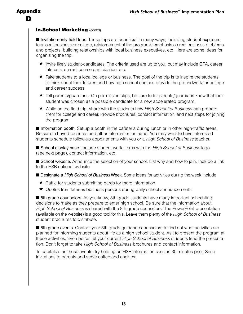#### **In-School Marketing (cont'd)**

**n** Invitation-only field trips. These trips are beneficial in many ways, including student exposure to a local business or college, reinforcement of the program's emphasis on real business problems and projects, building relationships with local business executives, etc. Here are some ideas for organizing the trip.

- ★ Invite likely student-candidates. The criteria used are up to you, but may include GPA, career interests, current course participation, etc.
- $\star$  Take students to a local college or business. The goal of the trip is to inspire the students to think about their futures and how high school choices provide the groundwork for college and career success.
- ★ Tell parents/guardians. On permission slips, be sure to let parents/guardians know that their student was chosen as a possible candidate for a new accelerated program.
- ★ While on the field trip, share with the students how High School of Business can prepare them for college and career. Provide brochures, contact information, and next steps for joining the program.

**n Information booth.** Set up a booth in the cafeteria during lunch or in other high-traffic areas. Be sure to have brochures and other information on hand. You may want to have interested students schedule follow-up appointments with you or a High School of Business teacher.

**E** School display case. Include student work, items with the High School of Business logo (see next page), contact information, etc.

■ School website. Announce the selection of your school. List why and how to join. Include a link to the HSB national website.

**n Designate a High School of Business Week.** Some ideas for activities during the week include

- ★ Raffle for students submitting cards for more information
- ★ Quotes from famous business persons during daily school announcements

■ 8th grade counselors. As you know, 8th grade students have many important scheduling decisions to make as they prepare to enter high school. Be sure that the information about High School of Business is shared with the 8th grade counselors. The PowerPoint presentation (available on the website) is a good tool for this. Leave them plenty of the High School of Business student brochures to distribute.

■ 8th grade events. Contact your 8th grade guidance counselors to find out what activities are planned for informing students about life as a high school student. Ask to present the program at these activities. Even better, let your current High School of Business students lead the presentation. Don't forget to take High School of Business brochures and contact information.

To capitalize on these events, try holding an HSB information session 30 minutes prior. Send invitations to parents and serve coffee and cookies.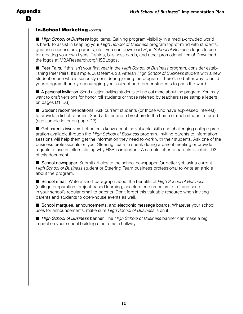#### Appendix D

#### **In-School Marketing (cont'd)**

■ High School of Business logo items. Gaining program visibility in a media-crowded world is hard. To assist in keeping your *High School of Business* program top-of-mind with students, guidance counselors, parents, etc., you can download High School of Business logos to use for creating your own flyers, T-shirts, business cards, and other promotional items! Download the logos at [MBAResearch.org/HSBLogos](http://MBAResearch.org/HSBLogos).

**n** Peer Pairs. If this isn't your first year in the High School of Business program, consider establishing Peer Pairs. It's simple. Just team-up a veteran High School of Business student with a new student or one who is seriously considering joining the program. There's no better way to build your program than by encouraging your current and former students to pass the word.

■ A personal invitation. Send a letter inviting students to find out more about the program. You may want to draft versions for honor roll students or those referred by teachers (see sample letters on pages D1–D3).

■ Student recommendations. Ask current students (or those who have expressed interest) to provide a list of referrals. Send a letter and a brochure to the home of each student referred (see sample letter on page D2).

**n** Get parents involved. Let parents know about the valuable skills and challenging college preparation available through the *High School of Business* program. Inviting parents to information sessions will help them get the information they need to work with their students. Ask one of the business professionals on your Steering Team to speak during a parent meeting or provide a quote to use in letters stating why HSB is important. A sample letter to parents is exhibit D3 of this document.

**n School newspaper.** Submit articles to the school newspaper. Or better yet, ask a current High School of Business student or Steering Team business professional to write an article about the program.

■ School email. Write a short paragraph about the benefits of High School of Business (college preparation, project-based learning, accelerated curriculum, etc.) and send it in your school's regular email to parents. Don't forget this valuable resource when inviting parents and students to open-house events as well.

■ School marquee, announcements, and electronic message boards. Whatever your school uses for announcements, make sure High School of Business is on it.

**n High School of Business banner.** The High School of Business banner can make a big impact on your school building or in a main hallway.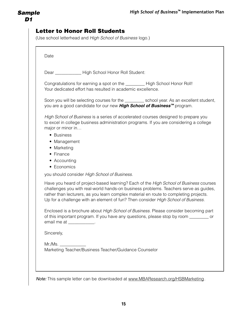| Date                                                                                                                                                                                                                                                                                                                                                        |
|-------------------------------------------------------------------------------------------------------------------------------------------------------------------------------------------------------------------------------------------------------------------------------------------------------------------------------------------------------------|
| Dear ______________ High School Honor Roll Student:                                                                                                                                                                                                                                                                                                         |
| Your dedicated effort has resulted in academic excellence.                                                                                                                                                                                                                                                                                                  |
| Soon you will be selecting courses for the ____________ school year. As an excellent student,<br>you are a good candidate for our new High School of Business <sup>™</sup> program.                                                                                                                                                                         |
| to excel in college business administration programs. If you are considering a college<br>major or minor in<br>• Business<br>• Management<br>• Marketing<br>• Finance<br>• Accounting<br>• Economics<br>you should consider High School of Business.                                                                                                        |
| Have you heard of project-based learning? Each of the High School of Business courses<br>challenges you with real-world hands-on business problems. Teachers serve as guides,<br>rather than lecturers, as you learn complex material en route to completing projects.<br>Up for a challenge with an element of fun? Then consider High School of Business. |
| Enclosed is a brochure about High School of Business. Please consider becoming part<br>of this important program. If you have any questions, please stop by room ________ or<br>email me at _____________.                                                                                                                                                  |
| Sincerely,                                                                                                                                                                                                                                                                                                                                                  |
|                                                                                                                                                                                                                                                                                                                                                             |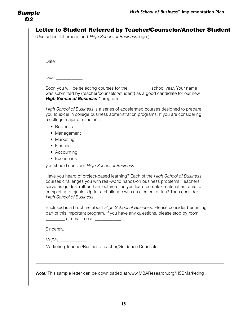## Letter to Student Referred by Teacher/Counselor/Another Student

(Use school letterhead and High School of Business logo.)

| Date                                                                                                                                                                                                                                                                                                                                                                         |  |
|------------------------------------------------------------------------------------------------------------------------------------------------------------------------------------------------------------------------------------------------------------------------------------------------------------------------------------------------------------------------------|--|
| $Dear$ :                                                                                                                                                                                                                                                                                                                                                                     |  |
| Soon you will be selecting courses for the ____________ school year. Your name<br>was submitted by (teacher/counselor/student) as a good candidate for our new<br>High School of Business <sup>™</sup> program.                                                                                                                                                              |  |
| High School of Business is a series of accelerated courses designed to prepare<br>you to excel in college business administration programs. If you are considering<br>a college major or minor in                                                                                                                                                                            |  |
| • Business<br>• Management                                                                                                                                                                                                                                                                                                                                                   |  |
| • Marketing<br>• Finance                                                                                                                                                                                                                                                                                                                                                     |  |
| • Accounting<br>• Economics                                                                                                                                                                                                                                                                                                                                                  |  |
| you should consider High School of Business.                                                                                                                                                                                                                                                                                                                                 |  |
| Have you heard of project-based learning? Each of the <i>High School of Business</i><br>courses challenges you with real-world hands-on business problems. Teachers<br>serve as guides, rather than lecturers, as you learn complex material en route to<br>completing projects. Up for a challenge with an element of fun? Then consider<br><b>High School of Business.</b> |  |
| Enclosed is a brochure about High School of Business. Please consider becoming<br>part of this important program. If you have any questions, please stop by room<br>or email me at ___________.                                                                                                                                                                              |  |
| Sincerely,                                                                                                                                                                                                                                                                                                                                                                   |  |
| Mr.Ms.                                                                                                                                                                                                                                                                                                                                                                       |  |
| Marketing Teacher/Business Teacher/Guidance Counselor                                                                                                                                                                                                                                                                                                                        |  |
|                                                                                                                                                                                                                                                                                                                                                                              |  |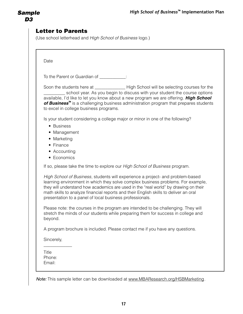## Letter to Parents

(Use school letterhead and High School of Business logo.)

**Date** 

To the Parent or Guardian of  $\qquad \qquad$ :

Soon the students here at \_\_\_\_\_\_\_\_\_\_\_\_\_\_\_\_\_\_\_\_\_High School will be selecting courses for the school year. As you begin to discuss with your student the course options available, I'd like to let you know about a new program we are offering. **High School of Business***™* is a challenging business administration program that prepares students to excel in college business programs.

Is your student considering a college major or minor in one of the following?

- Business
- Management
- Marketing
- Finance
- Accounting
- Economics

If so, please take the time to explore our High School of Business program.

High School of Business, students will experience a project- and problem-based learning environment in which they solve complex business problems. For example, they will understand how academics are used in the "real world" by drawing on their math skills to analyze financial reports and their English skills to deliver an oral presentation to a panel of local business professionals.

Please note: the courses in the program are intended to be challenging. They will stretch the minds of our students while preparing them for success in college and beyond.

A program brochure is included. Please contact me if you have any questions.

Sincerely,

\_\_\_\_\_\_\_\_\_\_\_\_\_

Title Phone: Email: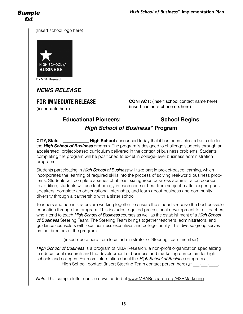(Insert school logo here)



By MBA Research

## **NEWS RELEASE**

**FOR IMMEDIATE RELEASE** (insert date here)

**CONTACT:** (insert school contact name here) (insert contact's phone no. here)

## **Educational Pioneers: \_\_\_\_\_\_\_\_\_\_\_\_ School Begins High School of Business***™* **Program**

**CITY, State – High School** announced today that it has been selected as a site for the **High School of Business** program. The program is designed to challenge students through an accelerated, project-based curriculum delivered in the context of business problems. Students completing the program will be positioned to excel in college-level business administration programs.

Students participating in High School of Business will take part in project-based learning, which incorporates the learning of required skills into the process of solving real-world business problems. Students will complete a series of at least six rigorous business administration courses. In addition, students will use technology in each course, hear from subject-matter expert guest speakers, complete an observational internship, and learn about business and community diversity through a partnership with a sister school.

Teachers and administrators are working together to ensure the students receive the best possible education through the program. This includes required professional development for all teachers who intend to teach High School of Business courses as well as the establishment of a High School of Business Steering Team. The Steering Team brings together teachers, administrators, and guidance counselors with local business executives and college faculty. This diverse group serves as the directors of the program.

(insert quote here from local administrator or Steering Team member)

High School of Business is a program of MBA Research, a non-profit organization specializing in educational research and the development of business and marketing curriculum for high schools and colleges. For more information about the High School of Business program at High School, contact (insert Steering Team contact person here) at  $\qquad \qquad -$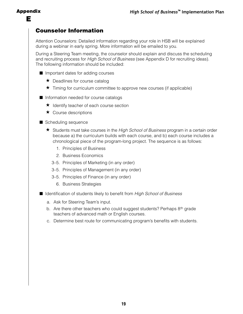### Counselor Information

Attention Counselors: Detailed information regarding your role in HSB will be explained during a webinar in early spring. More information will be emailed to you.

During a Steering Team meeting, the counselor should explain and discuss the scheduling and recruiting process for High School of Business (see Appendix D for recruiting ideas). The following information should be included:

- $\blacksquare$  Important dates for adding courses
	- ★ Deadlines for course catalog
	- ★ Timing for curriculum committee to approve new courses (if applicable)
- **n** Information needed for course catalogs
	- ★ Identify teacher of each course section
	- $\star$  Course descriptions
- $\blacksquare$  Scheduling sequence
	- ★ Students must take courses in the High School of Business program in a certain order because a) the curriculum builds with each course, and b) each course includes a chronological piece of the program-long project. The sequence is as follows:
		- 1. Principles of Business
		- 2. Business Economics
		- 3–5. Principles of Marketing (in any order)
		- 3–5. Principles of Management (in any order)
		- 3–5. Principles of Finance (in any order)
			- 6. Business Strategies
- Identification of students likely to benefit from High School of Business
	- a. Ask for Steering Team's input.
	- b. Are there other teachers who could suggest students? Perhaps  $8<sup>th</sup>$  grade teachers of advanced math or English courses.
	- c. Determine best route for communicating program's benefits with students.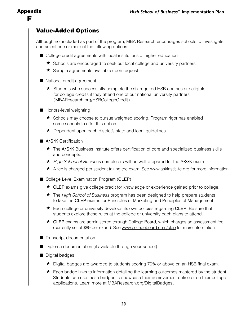### Value-Added Options

Although not included as part of the program, MBA Research encourages schools to investigate and select one or more of the following options:

- College credit agreements with local institutions of higher education
	- ★ Schools are encouraged to seek out local college and university partners.
	- **★** Sample agreements available upon request
- $\blacksquare$  National credit agreement
	- ★ Students who successfully complete the six required HSB courses are eligible for college credits if they attend one of our national university partners [\( MBAResearch.org/HSBCollegeCredit](http://MBAResearch.org/HSBCollegeCredit) ).
- $\blacksquare$  Honors-level weighting
	- ★ Schools may choose to pursue weighted scoring. Program rigor has enabled some schools to offer this option.
	- ★ Dependent upon each district's state and local guidelines
- A·S·K Certification
- **★** The A•S•K Business Institute offers certification of core and specialized business skills and concepts.
	- ★ High School of Business completers will be well-prepared for the A•S•K exam.
	- ★ A fee is charged per student taking the exam. See [www.askinstitute.org](http://www.askinstitute.org) for more information.
	- College Level Examination Program (CLEP)
		- ★ CLEP exams give college credit for knowledge or experience gained prior to college.
		- ★ The *High School of Business* program has been designed to help prepare students to take the CLEP exams for Principles of Marketing and Principles of Management.
		- ★ Each college or university develops its own policies regarding CLEP. Be sure that students explore these rules at the college or university each plans to attend.
		- ★ CLEP exams are administered through College Board, which charges an assessment fee (currently set at \$89 per exam). See [www.collegeboard.com/clep](http://www.collegeboard.com/clep) for more information.
	- $\blacksquare$  Transcript documentation
	- $\blacksquare$  Diploma documentation (if available through your school)
	- $\blacksquare$  Digital badges
		- ★ Digital badges are awarded to students scoring 70% or above on an HSB final exam.
		- ★ Each badge links to information detailing the learning outcomes mastered by the student. Students can use these badges to showcase their achievement online or on their college applications. Learn more at **MBAResearch.org/DigitalBadges**.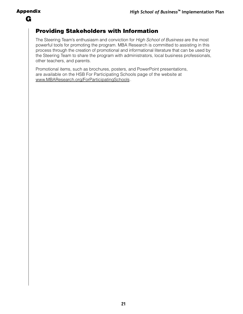## Providing Stakeholders with Information

The Steering Team's enthusiasm and conviction for High School of Business are the most powerful tools for promoting the program. MBA Research is committed to assisting in this process through the creation of promotional and informational literature that can be used by the Steering Team to share the program with administrators, local business professionals, other teachers, and parents.

Promotional items, such as brochures, posters, and PowerPoint presentations, are available on the HSB For Participating Schools page of the website at [www.MBAResearch.org/F](http://www.MBAResearch.org/ForParticipatingSchools)orParticipatingSchools .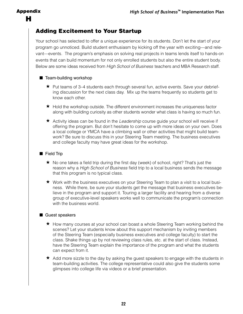### Appendix H

## Adding Excitement to Your Startup

Your school has selected to offer a unique experience for its students. Don't let the start of your program go unnoticed. Build student enthusiasm by kicking off the year with exciting—and relevant—events. The program's emphasis on solving real projects in teams lends itself to hands-on events that can build momentum for not only enrolled students but also the entire student body. Below are some ideas received from High School of Business teachers and MBA Research staff.

#### $\blacksquare$  Team-building workshop

- **★** Put teams of 3–4 students each through several fun, active events. Save your debriefing discussion for the next class day. Mix up the teams frequently so students get to know each other.
- ★ Hold the workshop outside. The different environment increases the uniqueness factor along with building curiosity as other students wonder what class is having so much fun.
- ★ Activity ideas can be found in the Leadership course guide your school will receive if offering the program. But don't hesitate to come up with more ideas on your own. Does a local college or YMCA have a climbing wall or other activities that might build teamwork? Be sure to discuss this in your Steering Team meeting. The business executives and college faculty may have great ideas for the workshop.

#### $\blacksquare$  Field Trip

- $\star$  No one takes a field trip during the first day (week) of school, right? That's just the reason why a High School of Business field trip to a local business sends the message that this program is no typical class.
- **★** Work with the business executives on your Steering Team to plan a visit to a local business. While there, be sure your students get the message that business executives believe in the program and support it. Touring a larger facility and hearing from a diverse group of executive-level speakers works well to communicate the program's connection with the business world.

#### $\blacksquare$  Guest speakers

- **★** How many courses at your school can boast a whole Steering Team working behind the scenes? Let your students know about this support mechanism by inviting members of the Steering Team (especially business executives and college faculty) to start the class. Shake things up by not reviewing class rules, etc. at the start of class. Instead, have the Steering Team explain the importance of the program and what the students can expect from it.
- $\star$  Add more sizzle to the day by asking the guest speakers to engage with the students in team-building activities. The college representative could also give the students some glimpses into college life via videos or a brief presentation.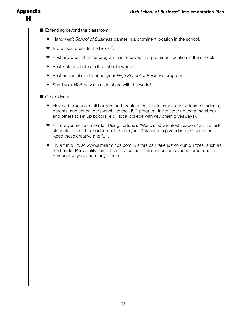### Appendix H

#### $\blacksquare$  Extending beyond the classroom

- **★** Hang High School of Business banner in a prominent location in the school.
- $\star$  Invite local press to the kick-off.
- $\star$  Post any press that the program has received in a prominent location in the school.
- $\star$  Post kick-off photos to the school's website.
- **★** Post on social media about your High School of Business program.
- $\star$  Send your HSB news to us to share with the world!

#### **n** Other ideas:

- $\star$  Have a barbecue. Grill burgers and create a festive atmosphere to welcome students, parents, and school personnel into the HSB program. Invite steering team members and others to set up booths (e.g., local college with key chain giveaways).
- **★** Picture yourself as a leader. Using Fortune's "[World's 50 Greatest Leaders"](https://fortune.com/worlds-greatest-leaders/) article, ask students to pick the leader most like him/her. Ask each to give a brief presentation. Keep these creative and fun.
- $\star$  Try a fun quiz. At [www.similarminds.com](http://www.similarminds.com), visitors can take just-for-fun quizzes, such as the Leader Personality Test. The site also includes serious tests about career choice, personality type, and many others.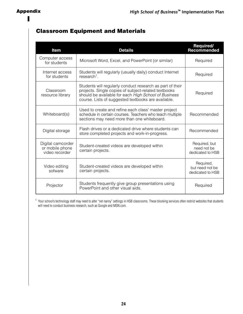## Classroom Equipment and Materials

| Item                                                   | <b>Details</b>                                                                                                                                                                                                                   | Required/<br>Recommended                         |
|--------------------------------------------------------|----------------------------------------------------------------------------------------------------------------------------------------------------------------------------------------------------------------------------------|--------------------------------------------------|
| Computer access<br>for students                        | Microsoft Word, Excel, and PowerPoint (or similar)                                                                                                                                                                               | Required                                         |
| Internet access<br>for students                        | Students will regularly (usually daily) conduct Internet<br>$research1$ .                                                                                                                                                        | Required                                         |
| Classroom<br>resource library                          | Students will regularly conduct research as part of their<br>projects. Single copies of subject-related textbooks<br>should be available for each High School of Business<br>course. Lists of suggested textbooks are available. | Required                                         |
| Whiteboard(s)                                          | Used to create and refine each class' master project<br>schedule in certain courses. Teachers who teach multiple<br>sections may need more than one whiteboard.                                                                  | Recommended                                      |
| Digital storage                                        | Flash drives or a dedicated drive where students can<br>store completed projects and work-in-progress.                                                                                                                           | Recommended                                      |
| Digital camcorder<br>or mobile phone<br>video recorder | Student-created videos are developed within<br>certain projects.                                                                                                                                                                 | Required, but<br>need not be<br>dedicated to HSB |
| Video editing<br>sofware                               | Student-created videos are developed within<br>certain projects.                                                                                                                                                                 | Required,<br>but need not be<br>dedicated to HSB |
| Projector                                              | Students frequently give group presentations using<br>PowerPoint and other visual aids.                                                                                                                                          | Required                                         |

<sup>1</sup> Your school's technology staff may need to alter "net nanny" settings in HSB classrooms. These blocking services often restrict websites that students will need to conduct business research, such as Google and MSN.com.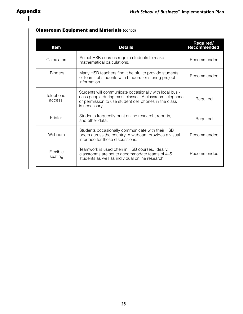#### **Classroom Equipment and Materials (cont'd)**

| Item                | <b>Details</b>                                                                                                                                                                              | Required/<br>Recommended |
|---------------------|---------------------------------------------------------------------------------------------------------------------------------------------------------------------------------------------|--------------------------|
| Calculators         | Select HSB courses require students to make<br>mathematical calculations.                                                                                                                   | Recommended              |
| <b>Binders</b>      | Many HSB teachers find it helpful to provide students<br>or teams of students with binders for storing project<br>information.                                                              | Recommended              |
| Telephone<br>access | Students will communicate occasionally with local busi-<br>ness people during most classes. A classroom telephone<br>or permission to use student cell phones in the class<br>is necessary. | Required                 |
| Printer             | Students frequently print online research, reports,<br>and other data.                                                                                                                      | Required                 |
| Webcam              | Students occasionally communicate with their HSB<br>peers across the country. A webcam provides a visual<br>interface for these discussions.                                                | Recommended              |
| Flexible<br>seating | Teamwork is used often in HSB courses. Ideally,<br>classrooms are set to accommodate teams of 4-5<br>students as well as individual online research.                                        | Recommended              |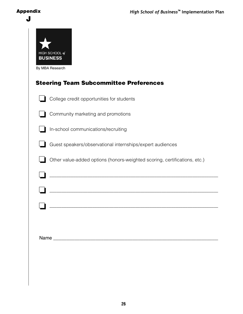#### Appendix

| By MBA Research<br><b>Steering Team Subcommittee Preferences</b>          |
|---------------------------------------------------------------------------|
| College credit opportunities for students                                 |
| Community marketing and promotions                                        |
| In-school communications/recruiting                                       |
| Guest speakers/observational internships/expert audiences                 |
| Other value-added options (honors-weighted scoring, certifications, etc.) |
|                                                                           |
|                                                                           |
|                                                                           |
|                                                                           |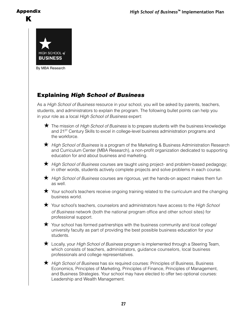### Appendix K



By MBA Research

## Explaining *High School of Business*

As a High School of Business resource in your school, you will be asked by parents, teachers, students, and administrators to explain the program. The following bullet points can help you in your role as a local High School of Business expert:

- ★ The mission of *High School of Business* is to prepare students with the business knowledge and 21<sup>st</sup> Century Skills to excel in college-level business administration programs and the workforce.
- ★ High School of Business is a program of the Marketing & Business Administration Research and Curriculum Center (MBA Research), a non-profit organization dedicated to supporting education for and about business and marketing.
- ★ High School of Business courses are taught using project- and problem-based pedagogy; in other words, students actively complete projects and solve problems in each course.
- ★ High School of Business courses are rigorous, yet the hands-on aspect makes them fun as well.
- $\star$  Your school's teachers receive ongoing training related to the curriculum and the changing business world.
- $\star$  Your school's teachers, counselors and administrators have access to the *High School* of Business network (both the national program office and other school sites) for professional support.
- $\star$  Your school has formed partnerships with the business community and local college/ university faculty as part of providing the best possible business education for your students.
- ★ Locally, your High School of Business program is implemented through a Steering Team, which consists of teachers, administrators, guidance counselors, local business professionals and college representatives.
- ★ High School of Business has six required courses: Principles of Business, Business Economics, Principles of Marketing, Principles of Finance, Principles of Management, and Business Strategies. Your school may have elected to offer two optional courses: Leadership and Wealth Management.